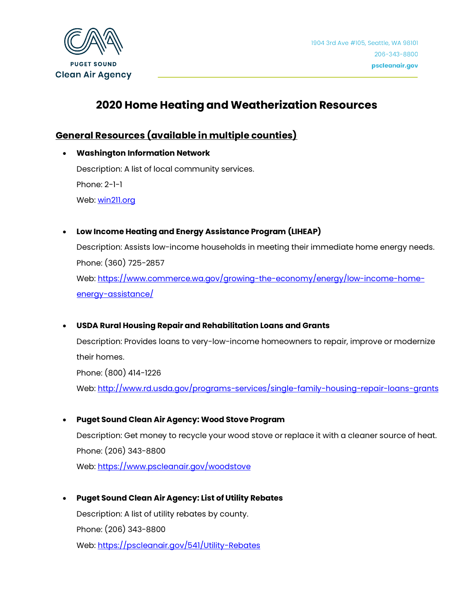

# **2020 Home Heating and Weatherization Resources**

## **General Resources (available in multiple counties)**

- **Washington Information Network** Description: A list of local community services. Phone: 2-1-1 Web: [win211.org](http://win211.org/about/2-1-1-in-washington/)
- **Low Income Heating and Energy Assistance Program (LIHEAP)**

Description: Assists low-income households in meeting their immediate home energy needs. Phone: (360) 725-2857 Web: [https://www.commerce.wa.gov/growing-the-economy/energy/low-income-home](https://www.commerce.wa.gov/growing-the-economy/energy/low-income-home-energy-assistance/)[energy-assistance/](https://www.commerce.wa.gov/growing-the-economy/energy/low-income-home-energy-assistance/)

• **USDA Rural Housing Repair and Rehabilitation Loans and Grants**

Description: Provides loans to very-low-income homeowners to repair, improve or modernize their homes. Phone: (800) 414-1226 Web:<http://www.rd.usda.gov/programs-services/single-family-housing-repair-loans-grants>

• **Puget Sound Clean Air Agency: Wood Stove Program**

Description: Get money to recycle your wood stove or replace it with a cleaner source of heat. Phone: (206) 343-8800 Web:<https://www.pscleanair.gov/woodstove>

• **Puget Sound Clean Air Agency: List of Utility Rebates**

Description: A list of utility rebates by county. Phone: (206) 343-8800 Web:<https://pscleanair.gov/541/Utility-Rebates>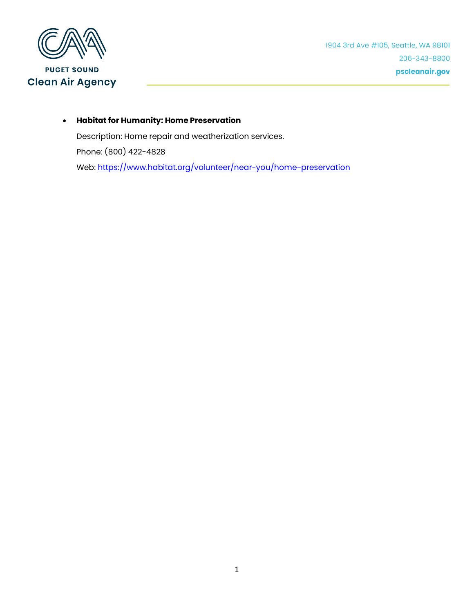

• **Habitat for Humanity: Home Preservation**

Description: Home repair and weatherization services. Phone: (800) 422-4828 Web:<https://www.habitat.org/volunteer/near-you/home-preservation>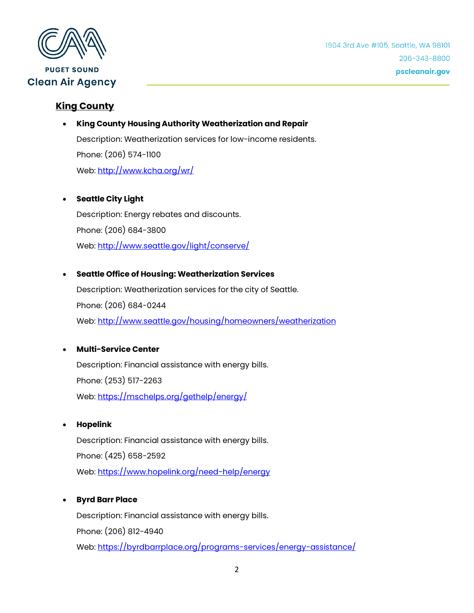

## **King County**

#### • **King County Housing Authority Weatherization and Repair**

Description: Weatherization services for low-income residents. Phone: (206) 574-1100 Web:<http://www.kcha.org/wr/>

#### • **Seattle City Light**

Description: Energy rebates and discounts. Phone: (206) 684-3800 Web:<http://www.seattle.gov/light/conserve/>

#### • **Seattle Office of Housing: Weatherization Services**

Description: Weatherization services for the city of Seattle. Phone: (206) 684-0244 Web: <http://www.seattle.gov/housing/homeowners/weatherization>

#### • **Multi-Service Center**

Description: Financial assistance with energy bills. Phone: (253) 517-2263 Web:<https://mschelps.org/gethelp/energy/>

#### • **Hopelink**

Description: Financial assistance with energy bills. Phone: (425) 658-2592 Web:<https://www.hopelink.org/need-help/energy>

#### • **Byrd Barr Place**

Description: Financial assistance with energy bills. Phone: (206) 812-4940 Web:<https://byrdbarrplace.org/programs-services/energy-assistance/>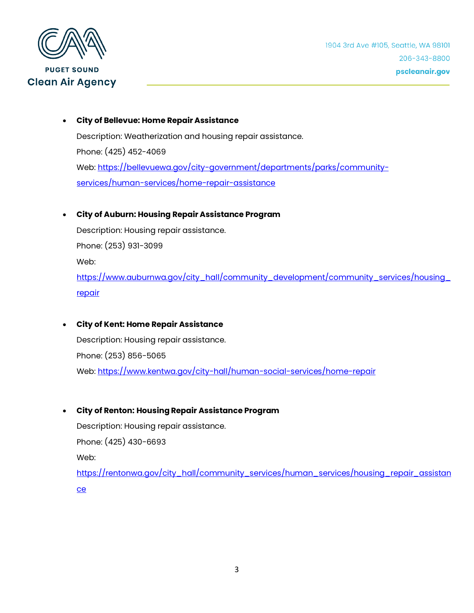

• **City of Bellevue: Home Repair Assistance** Description: Weatherization and housing repair assistance. Phone: (425) 452-4069 Web: [https://bellevuewa.gov/city-government/departments/parks/community](https://bellevuewa.gov/city-government/departments/parks/community-services/human-services/home-repair-assistance)[services/human-services/home-repair-assistance](https://bellevuewa.gov/city-government/departments/parks/community-services/human-services/home-repair-assistance)

#### • **City of Auburn: Housing Repair Assistance Program**

Description: Housing repair assistance. Phone: (253) 931-3099 Web: [https://www.auburnwa.gov/city\\_hall/community\\_development/community\\_services/housing\\_](https://www.auburnwa.gov/city_hall/community_development/community_services/housing_repair) [repair](https://www.auburnwa.gov/city_hall/community_development/community_services/housing_repair)

• **City of Kent: Home Repair Assistance** Description: Housing repair assistance. Phone: (253) 856-5065 Web:<https://www.kentwa.gov/city-hall/human-social-services/home-repair>

#### • **City of Renton: Housing Repair Assistance Program**

Description: Housing repair assistance. Phone: (425) 430-6693 Web: [https://rentonwa.gov/city\\_hall/community\\_services/human\\_services/housing\\_repair\\_assistan](https://rentonwa.gov/city_hall/community_services/human_services/housing_repair_assistance) [ce](https://rentonwa.gov/city_hall/community_services/human_services/housing_repair_assistance)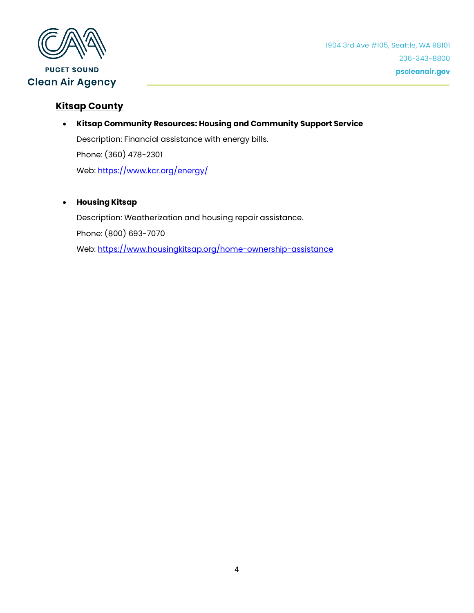

1904 3rd Ave #105, Seattle, WA 98101 206-343-8800 pscleanair.gov

## **Kitsap County**

• **Kitsap Community Resources: Housing and Community Support Service**

Description: Financial assistance with energy bills. Phone: (360) 478-2301

Web:<https://www.kcr.org/energy/>

#### • **Housing Kitsap**

Description: Weatherization and housing repair assistance. Phone: (800) 693-7070 Web:<https://www.housingkitsap.org/home-ownership-assistance>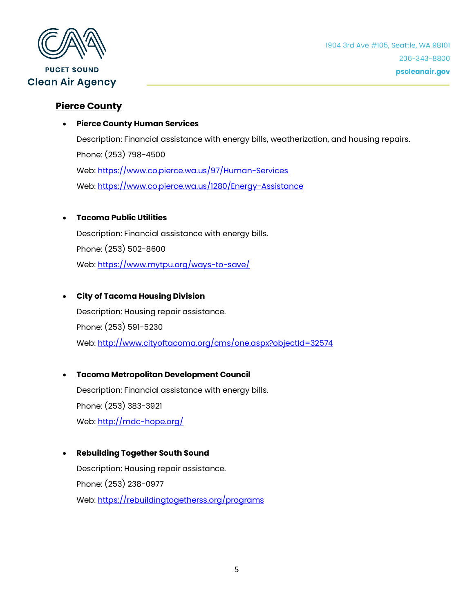

### **Pierce County**

#### • **Pierce County Human Services**

Description: Financial assistance with energy bills, weatherization, and housing repairs. Phone: (253) 798-4500 Web:<https://www.co.pierce.wa.us/97/Human-Services> Web:<https://www.co.pierce.wa.us/1280/Energy-Assistance>

#### • **Tacoma Public Utilities**

Description: Financial assistance with energy bills. Phone: (253) 502-8600 Web:<https://www.mytpu.org/ways-to-save/>

#### • **City of Tacoma Housing Division**

Description: Housing repair assistance. Phone: (253) 591-5230 Web:<http://www.cityoftacoma.org/cms/one.aspx?objectId=32574>

## • **Tacoma Metropolitan Development Council** Description: Financial assistance with energy bills. Phone: (253) 383-3921 Web:<http://mdc-hope.org/>

#### • **Rebuilding Together South Sound**

Description: Housing repair assistance. Phone: (253) 238-0977 Web:<https://rebuildingtogetherss.org/programs>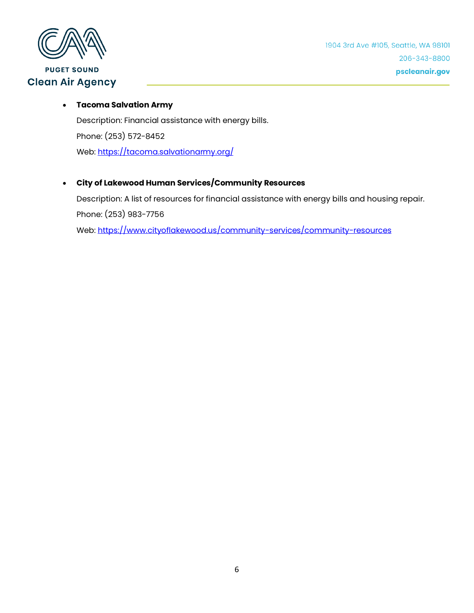

## **PUGET SOUND Clean Air Agency**

#### • **Tacoma Salvation Army**

Description: Financial assistance with energy bills. Phone: (253) 572-8452 Web:<https://tacoma.salvationarmy.org/>

### • **City of Lakewood Human Services/Community Resources**

Description: A list of resources for financial assistance with energy bills and housing repair. Phone: (253) 983-7756 Web:<https://www.cityoflakewood.us/community-services/community-resources>